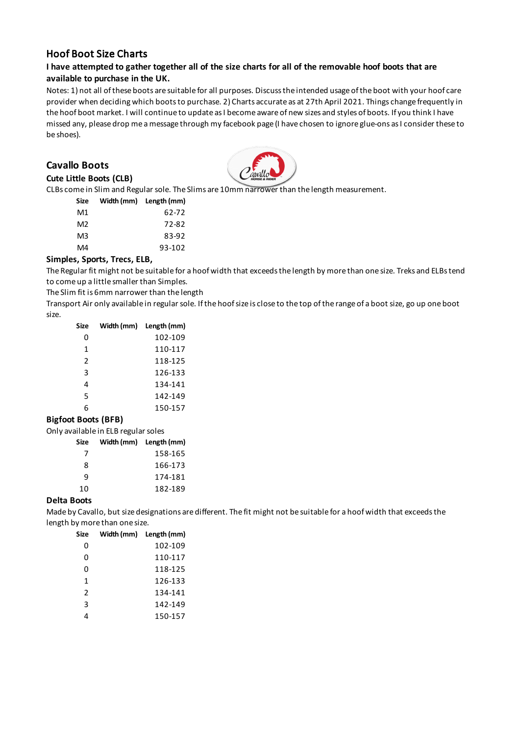## Hoof Boot Size Charts

#### **I have attempted to gather together all of the size charts for all of the removable hoof boots that are available to purchase in the UK.**

Notes: 1) not all of these boots are suitable for all purposes. Discuss the intended usage of the boot with your hoof care provider when deciding which boots to purchase. 2) Charts accurate as at 27th April 2021. Things change frequently in the hoof boot market. I will continue to update as I become aware of new sizes and styles of boots. If you think I have missed any, please drop me a message through my facebook page (I have chosen to ignore glue-ons as I consider these to be shoes).

### **Cavallo Boots**

#### **Cute Little Boots (CLB)**

CLBs come in Slim and Regular sole. The Slims are 10mm narrower than the length measurement.

| Size | Width (mm) Length (mm) |
|------|------------------------|
| M1   | 62-72                  |
| M2   | 72-82                  |
| M3   | 83-92                  |
| M4   | 93-102                 |

#### **Simples, Sports, Trecs, ELB,**

The Regular fit might not be suitable for a hoof width that exceeds the length by more than one size. Treks and ELBs tend to come up a little smaller than Simples.

The Slim fit is 6mm narrower than the length

Transport Air only available in regular sole. If the hoof size is close to the top of the range of a boot size, go up one boot size.

| Size          | Width (mm) | Length (mm) |
|---------------|------------|-------------|
| 0             |            | 102-109     |
| 1             |            | 110-117     |
| $\mathcal{P}$ |            | 118-125     |
| 3             |            | 126-133     |
| 4             |            | 134-141     |
| 5             |            | 142-149     |
| հ             |            | 150-157     |
|               |            |             |

#### **Bigfoot Boots (BFB)**

Only available in ELB regular soles

| Size | Width (mm) | Length (mm) |
|------|------------|-------------|
| 7    |            | 158-165     |
| 8    |            | 166-173     |
| q    |            | 174-181     |
| 10   |            | 182-189     |

#### **Delta Boots**

Made by Cavallo, but size designations are different. The fit might not be suitable for a hoof width that exceeds the length by more than one size.

| Size           | Width (mm) Length (mm) |
|----------------|------------------------|
| 0              | 102-109                |
| 0              | 110-117                |
| 0              | 118-125                |
| 1              | 126-133                |
| $\mathfrak{p}$ | 134-141                |
| 3              | 142-149                |
|                | 150-157                |

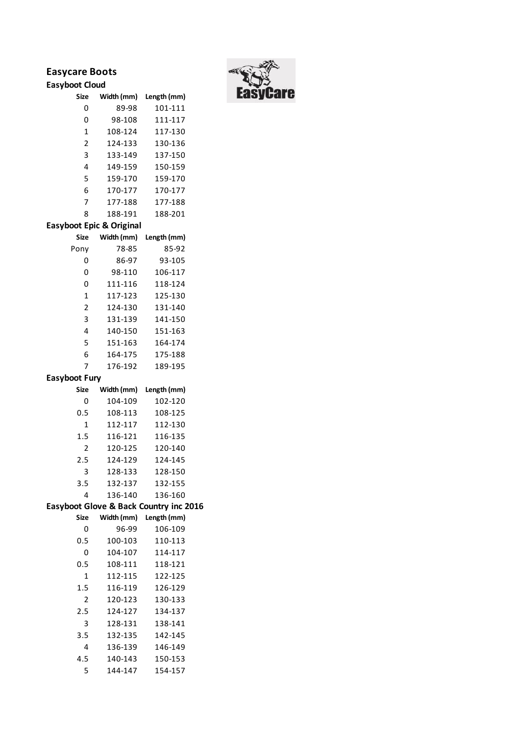# **Easycare Boots**

## **Easyboot Cloud**



| <b>Size</b>                         | Width (mm)         | Length (mm)                                       |
|-------------------------------------|--------------------|---------------------------------------------------|
| 0                                   | 89-98              | 101-111                                           |
| 0                                   | 98-108             | 111-117                                           |
| 1                                   | 108-124            | 117-130                                           |
| $\overline{c}$                      | 124-133            | 130-136                                           |
| 3                                   | 133-149            | 137-150                                           |
| 4                                   | 149-159            | 150-159                                           |
| 5                                   | 159-170            | 159-170                                           |
| 6                                   | 170-177            | 170-177                                           |
| 7                                   | 177-188            | 177-188                                           |
| 8                                   | 188-191            | 188-201                                           |
| <b>Easyboot Epic &amp; Original</b> |                    |                                                   |
| <b>Size</b>                         | Width (mm)         | Length (mm)                                       |
| Pony                                | 78-85              | 85-92                                             |
| 0                                   | 86-97              | 93-105                                            |
| 0                                   | 98-110             | 106-117                                           |
| 0                                   | 111-116            | 118-124                                           |
| 1                                   | 117-123            | 125-130                                           |
| $\overline{c}$                      | 124-130            | 131-140                                           |
| 3                                   | 131-139            | 141-150                                           |
| 4                                   | 140-150            | 151-163                                           |
| 5                                   | 151-163            | 164-174                                           |
| 6                                   | 164-175            | 175-188                                           |
| 7                                   | 176-192            | 189-195                                           |
| <b>Easyboot Fury</b>                |                    |                                                   |
| Size                                | Width (mm)         | Length (mm)                                       |
| 0                                   | 104-109            | 102-120                                           |
| 0.5                                 | 108-113            | 108-125                                           |
| 1                                   | 112-117            | 112-130                                           |
| 1.5                                 | 116-121            | 116-135                                           |
| 2                                   |                    | 120-140                                           |
|                                     | 120-125<br>124-129 | 124-145                                           |
| 2.5<br>3                            | 128-133            | 128-150                                           |
| 3.5                                 | 132-137            | 132-155                                           |
|                                     |                    |                                                   |
| 4                                   | 136-140            | 136-160<br>Easyboot Glove & Back Country inc 2016 |
| Size                                | Width (mm)         | Length (mm)                                       |
| 0                                   | 96-99              | 106-109                                           |
|                                     |                    |                                                   |
| 0.5                                 | 100-103            | 110-113                                           |
| 0                                   | 104-107            | 114-117<br>118-121                                |
| 0.5                                 | 108-111            |                                                   |
| 1                                   | 112-115            | 122-125                                           |
| 1.5                                 | 116-119            | 126-129                                           |
| 2                                   | 120-123            | 130-133                                           |
| 2.5                                 | 124-127            | 134-137                                           |
| 3                                   | 128-131            | 138-141                                           |
| 3.5                                 | 132-135            | 142-145                                           |
| 4                                   | 136-139            | 146-149                                           |
| 4.5                                 | 140-143            | 150-153                                           |
| 5                                   | 144-147            | 154-157                                           |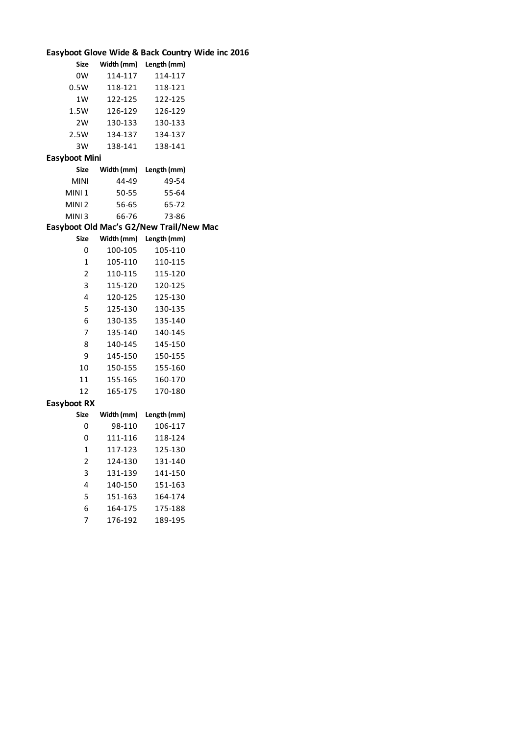| Easyboot Glove Wide & Back Country Wide inc 2016 |         |                                         |  |
|--------------------------------------------------|---------|-----------------------------------------|--|
| <b>Size</b>                                      |         | Width (mm) Length (mm)                  |  |
| 0W                                               | 114-117 | 114-117                                 |  |
| 0.5W                                             | 118-121 | 118-121                                 |  |
| 1W                                               | 122-125 | 122-125                                 |  |
|                                                  |         | 126-129                                 |  |
| 2W                                               | 130-133 | 130-133                                 |  |
| 2.5W                                             | 134-137 | 134-137                                 |  |
| 3W                                               | 138-141 | 138-141                                 |  |
| Easyboot Mini                                    |         |                                         |  |
| Size                                             |         | Width (mm) Length (mm)                  |  |
| MINI                                             | 44-49   | 49-54                                   |  |
| MINI 1                                           | 50-55   | 55-64                                   |  |
| MINI <sub>2</sub>                                | 56-65   | 65-72                                   |  |
| MINI 3                                           | 66-76   | 73-86                                   |  |
|                                                  |         | Easyboot Old Mac's G2/New Trail/New Mac |  |
| Size                                             |         | Width (mm) Length (mm)                  |  |
| 0                                                | 100-105 | 105-110                                 |  |
| 1                                                | 105-110 | 110-115                                 |  |
| $\overline{2}$                                   | 110-115 | 115-120                                 |  |
| 3                                                | 115-120 | 120-125                                 |  |
| 4                                                | 120-125 | 125-130                                 |  |
| 5                                                | 125-130 | 130-135                                 |  |
| 6                                                | 130-135 | 135-140                                 |  |
| 7                                                | 135-140 | 140-145                                 |  |
| 8                                                | 140-145 | 145-150                                 |  |
| 9                                                | 145-150 | 150-155                                 |  |
| 10                                               | 150-155 | 155-160                                 |  |
| 11                                               | 155-165 | 160-170                                 |  |
| 12                                               | 165-175 | 170-180                                 |  |
| <b>Easyboot RX</b>                               |         |                                         |  |
| Size                                             |         | Width (mm) Length (mm)                  |  |
| 0                                                | 98-110  | 106-117                                 |  |
| 0                                                |         | 111-116 118-124                         |  |
| 1                                                | 117-123 | 125-130                                 |  |
| 2                                                | 124-130 | 131-140                                 |  |
| 3                                                | 131-139 | 141-150                                 |  |
| 4                                                | 140-150 | 151-163                                 |  |
| 5                                                | 151-163 | 164-174                                 |  |
| 6                                                | 164-175 | 175-188                                 |  |
| 7                                                | 176-192 | 189-195                                 |  |
|                                                  |         |                                         |  |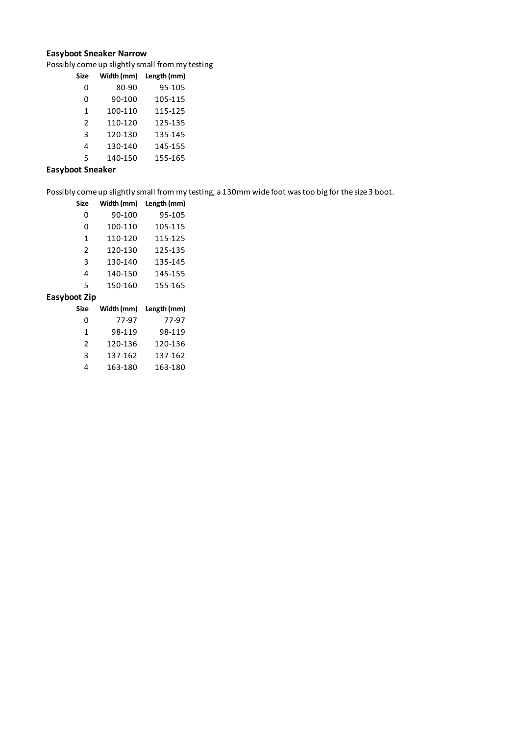#### **Easyboot Sneaker Narrow**

Possibly come up slightly small from my testing

| Size          | Width (mm) | Length (mm) |
|---------------|------------|-------------|
| 0             | 80-90      | 95-105      |
| 0             | 90-100     | 105-115     |
| 1             | 100-110    | 115-125     |
| $\mathcal{P}$ | 110-120    | 125-135     |
| 3             | 120-130    | 135-145     |
| 4             | 130-140    | 145-155     |
| 5             | 140-150    | 155-165     |
|               |            |             |

#### **Easyboot Sneaker**

Possibly come up slightly small from my testing, a 130mm wide foot was too big for the size 3 boot.

| Size          | Width (mm) | Length (mm) |
|---------------|------------|-------------|
| 0             | 90-100     | 95-105      |
| 0             | 100-110    | 105-115     |
| 1             | 110-120    | 115-125     |
| $\mathcal{P}$ | 120-130    | 125-135     |
| 3             | 130-140    | 135-145     |
| 4             | 140-150    | 145-155     |
| 5             | 150-160    | 155-165     |
|               |            |             |

#### **Easyboot Zip**

| <b>Size</b>   | Width (mm) | Length (mm) |
|---------------|------------|-------------|
| ŋ             | 77-97      | 77-97       |
| 1             | 98-119     | 98-119      |
| $\mathcal{P}$ | 120-136    | 120-136     |
| Κ             | 137-162    | 137-162     |
| Δ             | 163-180    | 163-180     |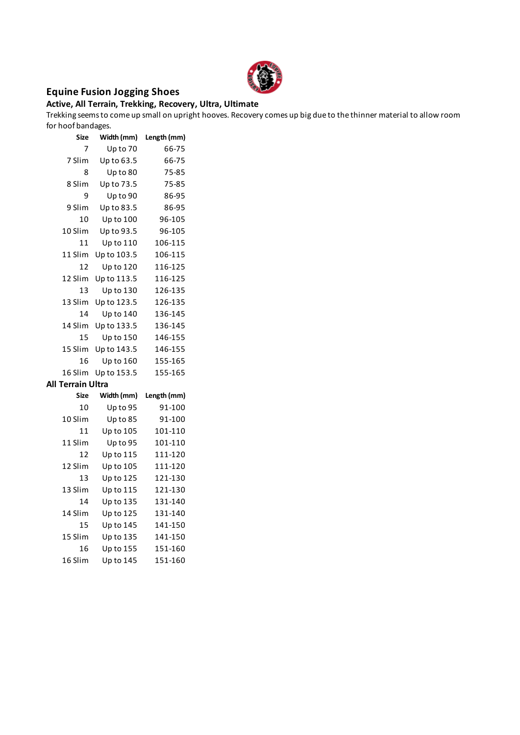

## **Equine Fusion Jogging Shoes**

#### **Active, All Terrain, Trekking, Recovery, Ultra, Ultimate**

Trekking seems to come up small on upright hooves. Recovery comes up big due to the thinner material to allow room for hoof bandages.

| <b>Size</b>       | Width (mm)       | Length (mm) |
|-------------------|------------------|-------------|
| 7                 | Up to 70         | 66-75       |
| 7 Slim            | Up to 63.5       | 66-75       |
| 8                 | Up to 80         | 75-85       |
| 8 Slim            | Up to 73.5       | 75-85       |
| 9                 | Up to 90         | 86-95       |
| 9 Slim            | Up to 83.5       | 86-95       |
| 10                | <b>Up to 100</b> | 96-105      |
| 10 Slim           | Up to 93.5       | 96-105      |
| 11                | Up to 110        | 106-115     |
| 11 Slim           | Up to 103.5      | 106-115     |
| 12                | Up to 120        | 116-125     |
| 12 Slim           | Up to 113.5      | 116-125     |
| 13                | Up to 130        | 126-135     |
| 13 Slim           | Up to 123.5      | 126-135     |
| 14                | Up to 140        | 136-145     |
| 14 Slim           | Up to 133.5      | 136-145     |
| 15                | Up to 150        | 146-155     |
| 15 Slim           | Up to 143.5      | 146-155     |
| 16                | Up to 160        | 155-165     |
| 16 Slim           | Up to 153.5      | 155-165     |
| All Terrain Ultra |                  |             |
| <b>Size</b>       | Width (mm)       | Length (mm) |
| 10                | Up to 95         | 91-100      |
| 10 Slim           | Up to 85         | 91-100      |
| 11                | Up to 105        | 101-110     |
| 11 Slim           | Up to 95         | 101-110     |
| 12                | Up to 115        | 111-120     |
| 12 Slim           | Up to 105        | 111-120     |
| 13                | Up to 125        | 121-130     |
| 13 Slim           | Up to 115        | 121-130     |
| 14                | <b>Up to 135</b> | 131-140     |
| 14 Slim           | Up to 125        | 131-140     |
| 15                | Up to 145        | 141-150     |
| 15 Slim           | <b>Up to 135</b> | 141-150     |
| 16                | Up to 155        | 151-160     |
| 16 Slim           | <b>Up to 145</b> | 151-160     |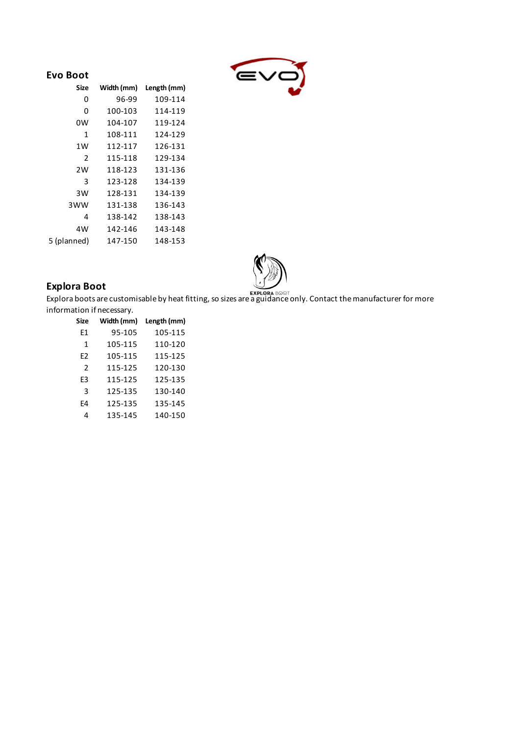#### **Evo Boot**

| Size        | Width (mm) | Length (mm) |
|-------------|------------|-------------|
| 0           | 96-99      | 109-114     |
| 0           | 100-103    | 114-119     |
| 0W          | 104-107    | 119-124     |
| 1           | 108-111    | 124-129     |
| 1W          | 112-117    | 126-131     |
| 2           | 115-118    | 129-134     |
| 2W          | 118-123    | 131-136     |
| 3           | 123-128    | 134-139     |
| 3W          | 128-131    | 134-139     |
| 3WW         | 131-138    | 136-143     |
| 4           | 138-142    | 138-143     |
| 4W          | 142-146    | 143-148     |
| 5 (planned) | 147-150    | 148-153     |

## **Explora Boot**

Explora boots are customisable by heat fitting, so sizes are a guidance only. Contact the manufacturer for more information if necessary.

 $\epsilon$ 

| Size          | Width (mm) | Length (mm) |
|---------------|------------|-------------|
| E1            | 95-105     | 105-115     |
| 1             | 105-115    | 110-120     |
| F2            | 105-115    | 115-125     |
| $\mathcal{P}$ | 115-125    | 120-130     |
| F3            | 115-125    | 125-135     |
| 3             | 125-135    | 130-140     |
| F4            | 125-135    | 135-145     |
| 4             | 135-145    | 140-150     |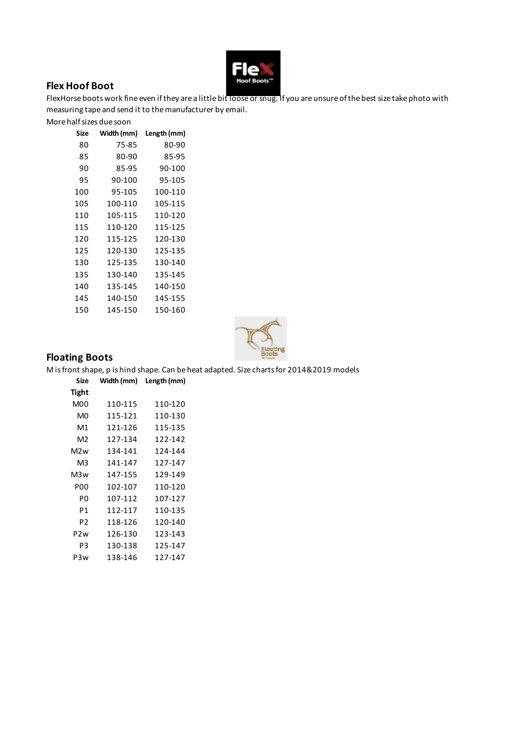

## **Flex Hoof Boot**

FlexHorse boots work fine even if they are a little bit loose or snug. If you are unsure of the best size take photo with measuring tape and send it to the manufacturer by email.

More half sizes due soon

| Size | Width (mm) | Length (mm) |
|------|------------|-------------|
| 80   | 75-85      | 80-90       |
| 85   | 80-90      | 85-95       |
| 90   | 85-95      | 90-100      |
| 95   | 90-100     | 95-105      |
| 100  | 95-105     | 100-110     |
| 105  | 100-110    | 105-115     |
| 110  | 105-115    | 110-120     |
| 115  | 110-120    | 115-125     |
| 120  | 115-125    | 120-130     |
| 125  | 120-130    | 125-135     |
| 130  | 125-135    | 130-140     |
| 135  | 130-140    | 135-145     |
| 140  | 135-145    | 140-150     |
| 145  | 140-150    | 145-155     |
| 150  | 145-150    | 150-160     |



### **Floating Boots**

M is front shape, p is hind shape. Can be heat adapted. Size charts for 2014&2019 models

| Size  | Width (mm) | Length (mm) |
|-------|------------|-------------|
| Tight |            |             |
| M00   | 110-115    | 110-120     |
| M0    | 115-121    | 110-130     |
| M1    | 121-126    | 115-135     |
| M2    | 127-134    | 122-142     |
| M2w   | 134-141    | 124-144     |
| M3    | 141-147    | 127-147     |
| M3w   | 147-155    | 129-149     |
| P00   | 102-107    | 110-120     |
| PO    | 107-112    | 107-127     |
| P1    | 112-117    | 110-135     |
| P2    | 118-126    | 120-140     |
| P2w   | 126-130    | 123-143     |
| P3    | 130-138    | 125-147     |
| P3w   | 138-146    | 127-147     |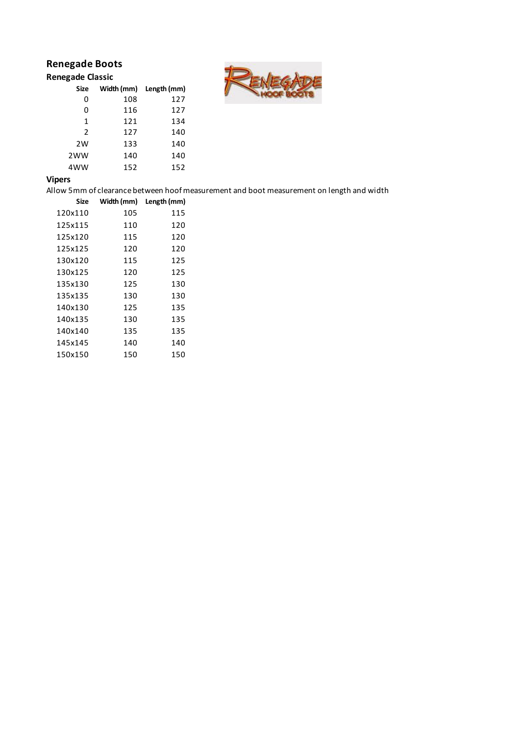# **Renegade Boots**

| <b>Renegade Classic</b> |            |             |  |
|-------------------------|------------|-------------|--|
| <b>Size</b>             | Width (mm) | Length (mm) |  |
| 0                       | 108        | 127         |  |
| 0                       | 116        | 127         |  |
| 1                       | 121        | 134         |  |
| $\mathfrak{p}$          | 127        | 140         |  |
| 2W                      | 133        | 140         |  |
| 2WW                     | 140        | 140         |  |
| 4WW                     | 152        | 152         |  |



#### **Vipers**

Allow 5mm of clearance between hoof measurement and boot measurement on length and width

| Size    |     | Width (mm) Length (mm) |
|---------|-----|------------------------|
| 120x110 | 105 | 115                    |
| 125x115 | 110 | 120                    |
| 125x120 | 115 | 120                    |
| 125x125 | 120 | 120                    |
| 130x120 | 115 | 125                    |
| 130x125 | 120 | 125                    |
| 135x130 | 125 | 130                    |
| 135x135 | 130 | 130                    |
| 140x130 | 125 | 135                    |
| 140x135 | 130 | 135                    |
| 140x140 | 135 | 135                    |
| 145x145 | 140 | 140                    |
| 150x150 | 150 | 150                    |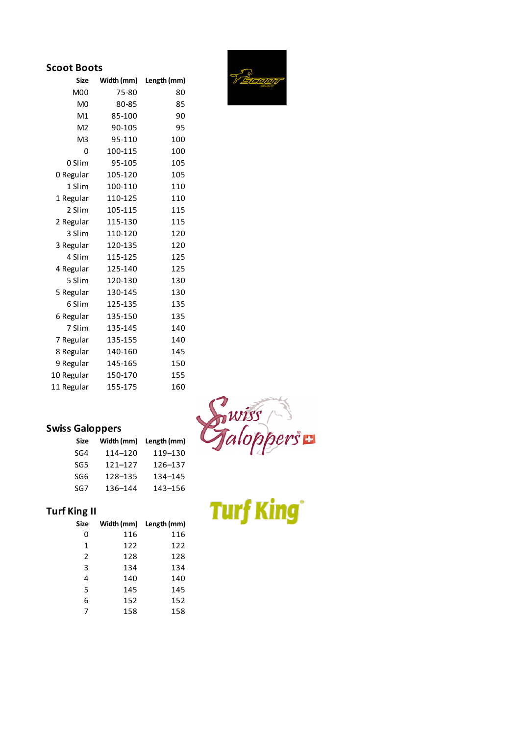## **Scoot Boots**

| <b>Size</b>    | Width (mm) | Length (mm) |
|----------------|------------|-------------|
| M00            | 75-80      | 80          |
| M <sub>0</sub> | 80-85      | 85          |
| M1             | 85-100     | 90          |
| M <sub>2</sub> | 90-105     | 95          |
| M <sub>3</sub> | 95-110     | 100         |
| 0              | 100-115    | 100         |
| 0 Slim         | 95-105     | 105         |
| 0 Regular      | 105-120    | 105         |
| 1 Slim         | 100-110    | 110         |
| 1 Regular      | 110-125    | 110         |
| 2 Slim         | 105-115    | 115         |
| 2 Regular      | 115-130    | 115         |
| 3 Slim         | 110-120    | 120         |
| 3 Regular      | 120-135    | 120         |
| 4 Slim         | 115-125    | 125         |
| 4 Regular      | 125-140    | 125         |
| 5 Slim         | 120-130    | 130         |
| 5 Regular      | 130-145    | 130         |
| 6 Slim         | 125-135    | 135         |
| 6 Regular      | 135-150    | 135         |
| 7 Slim         | 135-145    | 140         |
| 7 Regular      | 135-155    | 140         |
| 8 Regular      | 140-160    | 145         |
| 9 Regular      | 145-165    | 150         |
| 10 Regular     | 150-170    | 155         |
| 11 Regular     | 155-175    | 160         |

## **Swiss Galoppers**

|  | Size | Width (mm)  | Length (mm) |
|--|------|-------------|-------------|
|  | SG4  | 114-120     | 119-130     |
|  | SG5  | $121 - 127$ | 126-137     |
|  | SG6  | 128-135     | 134-145     |
|  | SG7  | 136-144     | 143-156     |



**Turf King** 

## **Turf King II**

| Size | Width (mm) | Length (mm) |
|------|------------|-------------|
| 0    | 116        | 116         |
| 1    | 122        | 122         |
| 2    | 128        | 128         |
| 3    | 134        | 134         |
| 4    | 140        | 140         |
| 5    | 145        | 145         |
| 6    | 152        | 152         |
| 7    | 158        | 158         |